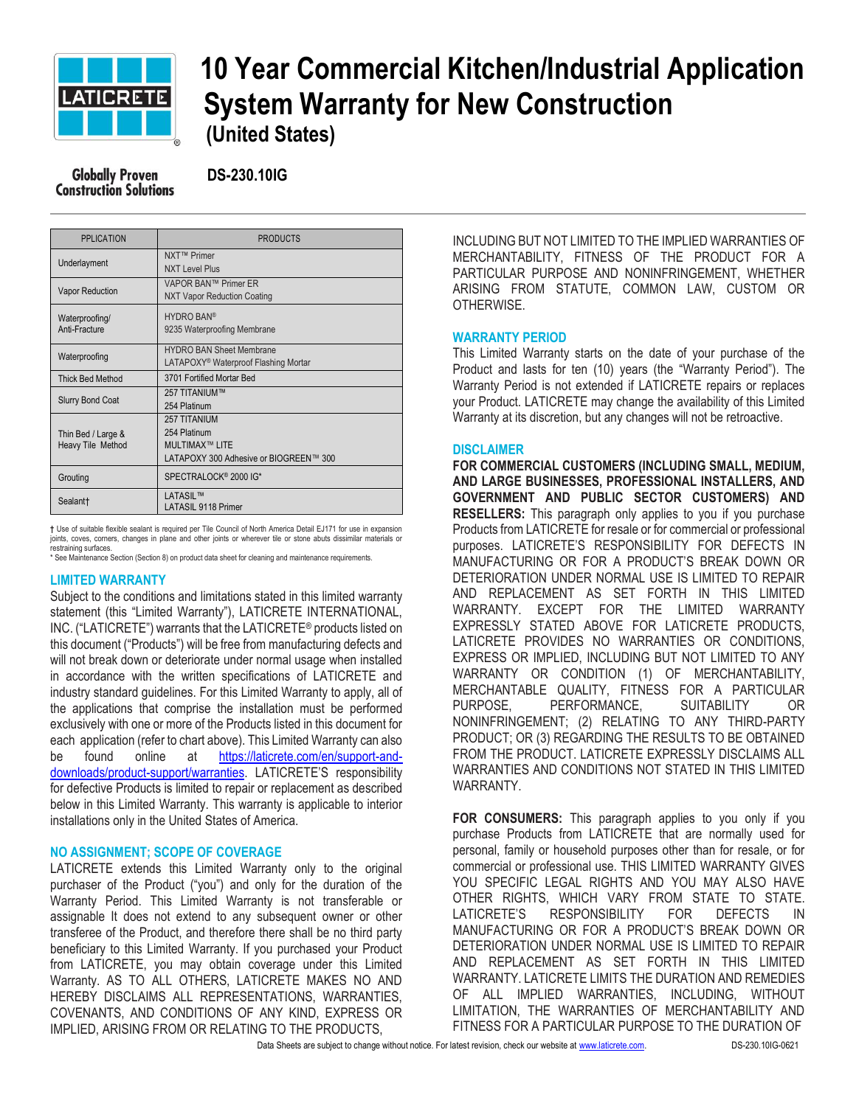

# **10 Year Commercial Kitchen/Industrial Application EATIGRETE** System Warranty for New Construction  **(United States)**

 **DS-230.10IG**

| <b>PPLICATION</b>                       | <b>PRODUCTS</b>                                                                                  |
|-----------------------------------------|--------------------------------------------------------------------------------------------------|
| Underlayment                            | NXT™ Primer<br><b>NXT Level Plus</b>                                                             |
| <b>Vapor Reduction</b>                  | VAPOR BAN™ Primer ER<br><b>NXT Vapor Reduction Coating</b>                                       |
| Waterproofing/<br>Anti-Fracture         | <b>HYDRO BAN®</b><br>9235 Waterproofing Membrane                                                 |
| Waterproofing                           | <b>HYDRO BAN Sheet Membrane</b><br>LATAPOXY <sup>®</sup> Waterproof Flashing Mortar              |
| <b>Thick Bed Method</b>                 | 3701 Fortified Mortar Bed                                                                        |
| <b>Slurry Bond Coat</b>                 | 257 TITANIUM™<br>254 Platinum                                                                    |
| Thin Bed / Large &<br>Heavy Tile Method | <b>257 TITANIUM</b><br>254 Platinum<br>MUI TIMAX™ LITF<br>LATAPOXY 300 Adhesive or BIOGREEN™ 300 |
| Grouting                                | SPECTRALOCK <sup>®</sup> 2000 IG*                                                                |
| Sealant†                                | <b>LATASIL™</b><br><b>LATASIL 9118 Primer</b>                                                    |

**†** Use of suitable flexible sealant is required per Tile Council of North America Detail EJ171 for use in expansion joints, coves, corners, changes in plane and other joints or wherever tile or stone abuts dissimilar materials or restraining surfaces.

\* See Maintenance Section (Section 8) on product data sheet for cleaning and maintenance requirements.

## **LIMITED WARRANTY**

Subject to the conditions and limitations stated in this limited warranty statement (this "Limited Warranty"), LATICRETE INTERNATIONAL, INC. ("LATICRETE") warrants that the LATICRETE® products listed on this document ("Products") will be free from manufacturing defects and will not break down or deteriorate under normal usage when installed in accordance with the written specifications of LATICRETE and industry standard guidelines. For this Limited Warranty to apply, all of the applications that comprise the installation must be performed exclusively with one or more of the Products listed in this document for each application (refer to chart above). This Limited Warranty can also be found online at [https://laticrete.com/en/support-and](https://laticrete.com/en/support-and-downloads/product-support/warranties)[downloads/product-support/warranties](https://laticrete.com/en/support-and-downloads/product-support/warranties). LATICRETE'S responsibility for defective Products is limited to repair or replacement as described below in this Limited Warranty. This warranty is applicable to interior installations only in the United States of America.

## **NO ASSIGNMENT; SCOPE OF COVERAGE**

LATICRETE extends this Limited Warranty only to the original purchaser of the Product ("you") and only for the duration of the Warranty Period. This Limited Warranty is not transferable or assignable It does not extend to any subsequent owner or other transferee of the Product, and therefore there shall be no third party beneficiary to this Limited Warranty. If you purchased your Product from LATICRETE, you may obtain coverage under this Limited Warranty. AS TO ALL OTHERS, LATICRETE MAKES NO AND HEREBY DISCLAIMS ALL REPRESENTATIONS, WARRANTIES, COVENANTS, AND CONDITIONS OF ANY KIND, EXPRESS OR IMPLIED, ARISING FROM OR RELATING TO THE PRODUCTS,

INCLUDING BUT NOT LIMITED TO THE IMPLIED WARRANTIES OF MERCHANTABILITY, FITNESS OF THE PRODUCT FOR A PARTICULAR PURPOSE AND NONINFRINGEMENT, WHETHER ARISING FROM STATUTE, COMMON LAW, CUSTOM OR OTHERWISE.

#### **WARRANTY PERIOD**

This Limited Warranty starts on the date of your purchase of the Product and lasts for ten (10) years (the "Warranty Period"). The Warranty Period is not extended if LATICRETE repairs or replaces your Product. LATICRETE may change the availability of this Limited Warranty at its discretion, but any changes will not be retroactive.

#### **DISCLAIMER**

**FOR COMMERCIAL CUSTOMERS (INCLUDING SMALL, MEDIUM, AND LARGE BUSINESSES, PROFESSIONAL INSTALLERS, AND GOVERNMENT AND PUBLIC SECTOR CUSTOMERS) AND RESELLERS:** This paragraph only applies to you if you purchase Products from LATICRETE for resale or for commercial or professional purposes. LATICRETE'S RESPONSIBILITY FOR DEFECTS IN MANUFACTURING OR FOR A PRODUCT'S BREAK DOWN OR DETERIORATION UNDER NORMAL USE IS LIMITED TO REPAIR AND REPLACEMENT AS SET FORTH IN THIS LIMITED WARRANTY. EXCEPT FOR THE LIMITED WARRANTY EXPRESSLY STATED ABOVE FOR LATICRETE PRODUCTS, LATICRETE PROVIDES NO WARRANTIES OR CONDITIONS, EXPRESS OR IMPLIED, INCLUDING BUT NOT LIMITED TO ANY WARRANTY OR CONDITION (1) OF MERCHANTABILITY, MERCHANTABLE QUALITY, FITNESS FOR A PARTICULAR PURPOSE, PERFORMANCE, SUITABILITY OR NONINFRINGEMENT; (2) RELATING TO ANY THIRD-PARTY PRODUCT; OR (3) REGARDING THE RESULTS TO BE OBTAINED FROM THE PRODUCT. LATICRETE EXPRESSLY DISCLAIMS ALL WARRANTIES AND CONDITIONS NOT STATED IN THIS LIMITED WARRANTY.

**FOR CONSUMERS:** This paragraph applies to you only if you purchase Products from LATICRETE that are normally used for personal, family or household purposes other than for resale, or for commercial or professional use. THIS LIMITED WARRANTY GIVES YOU SPECIFIC LEGAL RIGHTS AND YOU MAY ALSO HAVE OTHER RIGHTS, WHICH VARY FROM STATE TO STATE. LATICRETE'S RESPONSIBILITY FOR DEFECTS IN MANUFACTURING OR FOR A PRODUCT'S BREAK DOWN OR DETERIORATION UNDER NORMAL USE IS LIMITED TO REPAIR AND REPLACEMENT AS SET FORTH IN THIS LIMITED WARRANTY. LATICRETE LIMITS THE DURATION AND REMEDIES OF ALL IMPLIED WARRANTIES, INCLUDING, WITHOUT LIMITATION, THE WARRANTIES OF MERCHANTABILITY AND FITNESS FOR A PARTICULAR PURPOSE TO THE DURATION OF

Data Sheets are subject to change without notice. For latest revision, check our website a[t www.laticrete.com.](http://www.laticrete.com/) DS-230.10IG-0621